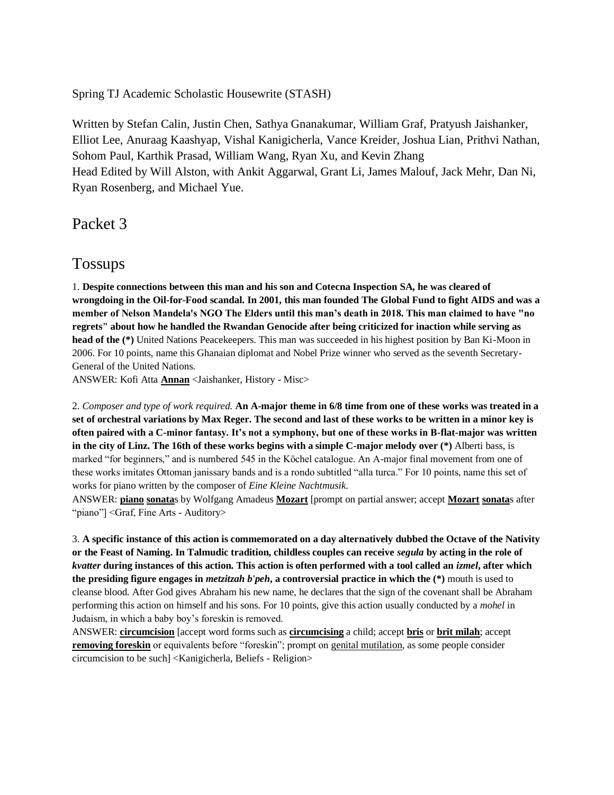Spring TJ Academic Scholastic Housewrite (STASH)

Written by Stefan Calin, Justin Chen, Sathya Gnanakumar, William Graf, Pratyush Jaishanker, Elliot Lee, Anuraag Kaashyap, Vishal Kanigicherla, Vance Kreider, Joshua Lian, Prithvi Nathan, Sohom Paul, Karthik Prasad, William Wang, Ryan Xu, and Kevin Zhang Head Edited by Will Alston, with Ankit Aggarwal, Grant Li, James Malouf, Jack Mehr, Dan Ni, Ryan Rosenberg, and Michael Yue.

Packet 3

## Tossups

1. **Despite connections between this man and his son and Cotecna Inspection SA, he was cleared of wrongdoing in the Oil-for-Food scandal. In 2001, this man founded The Global Fund to fight AIDS and was a member of Nelson Mandela's NGO The Elders until this man's death in 2018. This man claimed to have "no regrets" about how he handled the Rwandan Genocide after being criticized for inaction while serving as head of the (\*)** United Nations Peacekeepers. This man was succeeded in his highest position by Ban Ki-Moon in 2006. For 10 points, name this Ghanaian diplomat and Nobel Prize winner who served as the seventh Secretary-General of the United Nations.

ANSWER: Kofi Atta **Annan** <Jaishanker, History - Misc>

2. *Composer and type of work required.* **An A-major theme in 6/8 time from one of these works was treated in a set of orchestral variations by Max Reger. The second and last of these works to be written in a minor key is often paired with a C-minor fantasy. It's not a symphony, but one of these works in B-flat-major was written in the city of Linz. The 16th of these works begins with a simple C-major melody over (\*)** Alberti bass, is marked "for beginners," and is numbered 545 in the Köchel catalogue. An A-major final movement from one of these works imitates Ottoman janissary bands and is a rondo subtitled "alla turca." For 10 points, name this set of works for piano written by the composer of *Eine Kleine Nachtmusik*.

ANSWER: **piano sonata**s by Wolfgang Amadeus **Mozart** [prompt on partial answer; accept **Mozart sonata**s after "piano"]<Graf, Fine Arts - Auditory>

3. **A specific instance of this action is commemorated on a day alternatively dubbed the Octave of the Nativity or the Feast of Naming. In Talmudic tradition, childless couples can receive** *segula* **by acting in the role of**  *kvatter* **during instances of this action. This action is often performed with a tool called an** *izmel***, after which the presiding figure engages in** *metzitzah b'peh***, a controversial practice in which the (\*)** mouth is used to cleanse blood. After God gives Abraham his new name, he declares that the sign of the covenant shall be Abraham performing this action on himself and his sons. For 10 points, give this action usually conducted by a *mohel* in Judaism, in which a baby boy's foreskin is removed.

ANSWER: **circumcision** [accept word forms such as **circumcising** a child; accept **bris** or **brit milah**; accept **removing foreskin** or equivalents before "foreskin"; prompt on genital mutilation, as some people consider circumcision to be such] <Kanigicherla, Beliefs - Religion>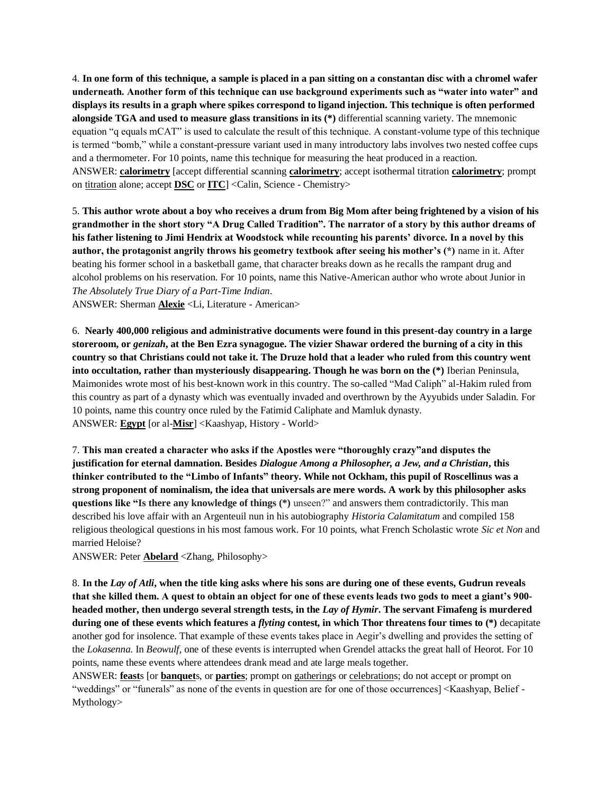4. **In one form of this technique, a sample is placed in a pan sitting on a constantan disc with a chromel wafer underneath. Another form of this technique can use background experiments such as "water into water" and displays its results in a graph where spikes correspond to ligand injection. This technique is often performed alongside TGA and used to measure glass transitions in its (\*)** differential scanning variety. The mnemonic equation "q equals mCAT" is used to calculate the result of this technique. A constant-volume type of this technique is termed "bomb," while a constant-pressure variant used in many introductory labs involves two nested coffee cups and a thermometer. For 10 points, name this technique for measuring the heat produced in a reaction. ANSWER: **calorimetry** [accept differential scanning **calorimetry**; accept isothermal titration **calorimetry**; prompt on titration alone; accept **DSC** or **ITC**] <Calin, Science - Chemistry>

5. **This author wrote about a boy who receives a drum from Big Mom after being frightened by a vision of his grandmother in the short story "A Drug Called Tradition". The narrator of a story by this author dreams of his father listening to Jimi Hendrix at Woodstock while recounting his parents' divorce. In a novel by this author, the protagonist angrily throws his geometry textbook after seeing his mother's (\*)** name in it. After beating his former school in a basketball game, that character breaks down as he recalls the rampant drug and alcohol problems on his reservation. For 10 points, name this Native-American author who wrote about Junior in *The Absolutely True Diary of a Part-Time Indian*.

ANSWER: Sherman **Alexie** <Li, Literature - American>

6. **Nearly 400,000 religious and administrative documents were found in this present-day country in a large storeroom, or** *genizah***, at the Ben Ezra synagogue. The vizier Shawar ordered the burning of a city in this country so that Christians could not take it. The Druze hold that a leader who ruled from this country went into occultation, rather than mysteriously disappearing. Though he was born on the (\*)** Iberian Peninsula, Maimonides wrote most of his best-known work in this country. The so-called "Mad Caliph" al-Hakim ruled from this country as part of a dynasty which was eventually invaded and overthrown by the Ayyubids under Saladin. For 10 points, name this country once ruled by the Fatimid Caliphate and Mamluk dynasty. ANSWER: **Egypt** [or al-**Misr**] <Kaashyap, History - World>

7. **This man created a character who asks if the Apostles were "thoroughly crazy"and disputes the justification for eternal damnation. Besides** *Dialogue Among a Philosopher, a Jew, and a Christian***, this thinker contributed to the "Limbo of Infants" theory. While not Ockham, this pupil of Roscellinus was a strong proponent of nominalism, the idea that universals are mere words. A work by this philosopher asks questions like "Is there any knowledge of things (\*)** unseen?" and answers them contradictorily. This man described his love affair with an Argenteuil nun in his autobiography *Historia Calamitatum* and compiled 158 religious theological questions in his most famous work. For 10 points, what French Scholastic wrote *Sic et Non* and married Heloise?

ANSWER: Peter **Abelard** <Zhang, Philosophy>

8. **In the** *Lay of Atli***, when the title king asks where his sons are during one of these events, Gudrun reveals that she killed them. A quest to obtain an object for one of these events leads two gods to meet a giant's 900 headed mother, then undergo several strength tests, in the** *Lay of Hymir***. The servant Fimafeng is murdered during one of these events which features a** *flyting* **contest, in which Thor threatens four times to (\*)** decapitate another god for insolence. That example of these events takes place in Aegir's dwelling and provides the setting of the *Lokasenna*. In *Beowulf*, one of these events is interrupted when Grendel attacks the great hall of Heorot. For 10 points, name these events where attendees drank mead and ate large meals together.

ANSWER: **feast**s [or **banquet**s, or **parties**; prompt on gatherings or celebrations; do not accept or prompt on "weddings" or "funerals" as none of the events in question are for one of those occurrences] <Kaashyap, Belief - Mythology>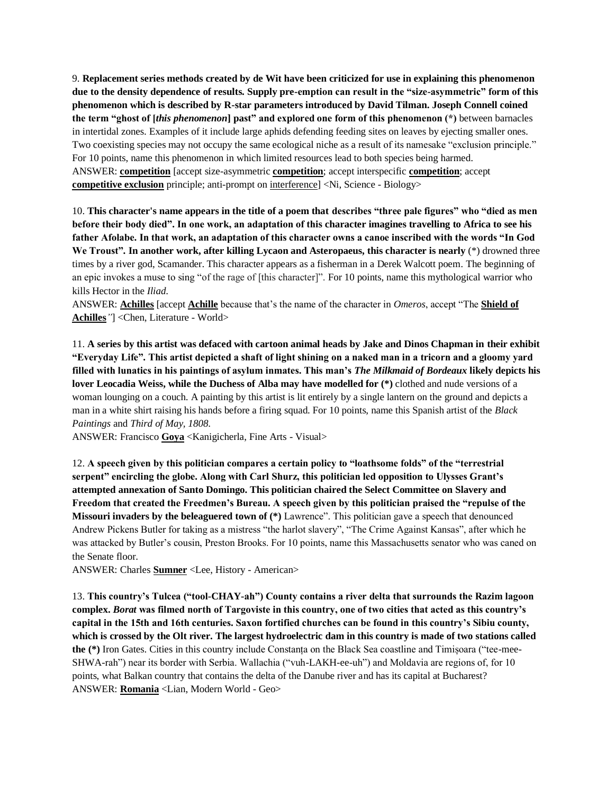9. **Replacement series methods created by de Wit have been criticized for use in explaining this phenomenon due to the density dependence of results. Supply pre-emption can result in the "size-asymmetric" form of this phenomenon which is described by R-star parameters introduced by David Tilman. Joseph Connell coined the term "ghost of [***this phenomenon***] past" and explored one form of this phenomenon (\*)** between barnacles in intertidal zones. Examples of it include large aphids defending feeding sites on leaves by ejecting smaller ones. Two coexisting species may not occupy the same ecological niche as a result of its namesake "exclusion principle." For 10 points, name this phenomenon in which limited resources lead to both species being harmed. ANSWER: **competition** [accept size-asymmetric **competition**; accept interspecific **competition**; accept **competitive exclusion** principle; anti-prompt on interference] <Ni, Science - Biology>

10. **This character's name appears in the title of a poem that describes "three pale figures" who "died as men before their body died". In one work, an adaptation of this character imagines travelling to Africa to see his father Afolabe. In that work, an adaptation of this character owns a canoe inscribed with the words "In God We Troust". In another work, after killing Lycaon and Asteropaeus, this character is nearly** (\*) drowned three times by a river god, Scamander. This character appears as a fisherman in a Derek Walcott poem*.* The beginning of an epic invokes a muse to sing "of the rage of [this character]". For 10 points, name this mythological warrior who kills Hector in the *Iliad*.

ANSWER: **Achilles** [accept **Achille** because that's the name of the character in *Omeros*, accept "The **Shield of Achilles***"*] <Chen, Literature - World>

11. **A series by this artist was defaced with cartoon animal heads by Jake and Dinos Chapman in their exhibit "Everyday Life". This artist depicted a shaft of light shining on a naked man in a tricorn and a gloomy yard filled with lunatics in his paintings of asylum inmates. This man's** *The Milkmaid of Bordeaux* **likely depicts his lover Leocadia Weiss, while the Duchess of Alba may have modelled for (\*)** clothed and nude versions of a woman lounging on a couch. A painting by this artist is lit entirely by a single lantern on the ground and depicts a man in a white shirt raising his hands before a firing squad. For 10 points, name this Spanish artist of the *Black Paintings* and *Third of May, 1808*.

ANSWER: Francisco **Goya** <Kanigicherla, Fine Arts - Visual>

12. **A speech given by this politician compares a certain policy to "loathsome folds" of the "terrestrial serpent" encircling the globe. Along with Carl Shurz, this politician led opposition to Ulysses Grant's attempted annexation of Santo Domingo. This politician chaired the Select Committee on Slavery and Freedom that created the Freedmen's Bureau. A speech given by this politician praised the "repulse of the Missouri invaders by the beleaguered town of (\*)** Lawrence". This politician gave a speech that denounced Andrew Pickens Butler for taking as a mistress "the harlot slavery", "The Crime Against Kansas", after which he was attacked by Butler's cousin, Preston Brooks. For 10 points, name this Massachusetts senator who was caned on the Senate floor.

ANSWER: Charles **Sumner** <Lee, History - American>

13. **This country's Tulcea ("tool-CHAY-ah") County contains a river delta that surrounds the Razim lagoon complex.** *Borat* **was filmed north of Targoviste in this country, one of two cities that acted as this country's capital in the 15th and 16th centuries. Saxon fortified churches can be found in this country's Sibiu county, which is crossed by the Olt river. The largest hydroelectric dam in this country is made of two stations called the (\*)** Iron Gates. Cities in this country include Constanța on the Black Sea coastline and Timișoara ("tee-mee-SHWA-rah") near its border with Serbia. Wallachia ("vuh-LAKH-ee-uh") and Moldavia are regions of, for 10 points, what Balkan country that contains the delta of the Danube river and has its capital at Bucharest? ANSWER: **Romania** <Lian, Modern World - Geo>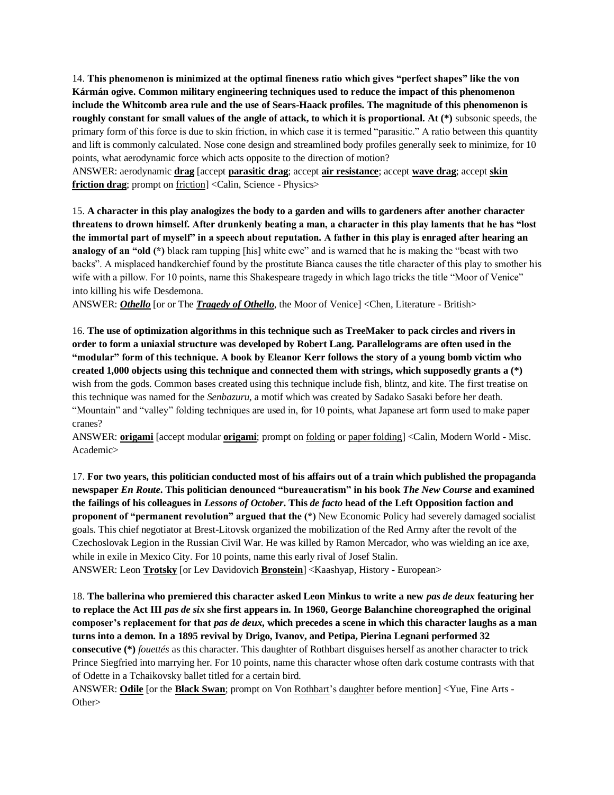14. **This phenomenon is minimized at the optimal fineness ratio which gives "perfect shapes" like the von Kármán ogive. Common military engineering techniques used to reduce the impact of this phenomenon include the Whitcomb area rule and the use of Sears-Haack profiles. The magnitude of this phenomenon is roughly constant for small values of the angle of attack, to which it is proportional. At (\*)** subsonic speeds, the primary form of this force is due to skin friction, in which case it is termed "parasitic." A ratio between this quantity and lift is commonly calculated. Nose cone design and streamlined body profiles generally seek to minimize, for 10 points, what aerodynamic force which acts opposite to the direction of motion?

ANSWER: aerodynamic **drag** [accept **parasitic drag**; accept **air resistance**; accept **wave drag**; accept **skin friction drag**; prompt on friction] <Calin, Science - Physics>

15. **A character in this play analogizes the body to a garden and wills to gardeners after another character threatens to drown himself. After drunkenly beating a man, a character in this play laments that he has "lost the immortal part of myself" in a speech about reputation. A father in this play is enraged after hearing an analogy of an "old (\*)** black ram tupping [his] white ewe" and is warned that he is making the "beast with two backs". A misplaced handkerchief found by the prostitute Bianca causes the title character of this play to smother his wife with a pillow. For 10 points, name this Shakespeare tragedy in which Iago tricks the title "Moor of Venice" into killing his wife Desdemona.

ANSWER: *Othello* [or or The *Tragedy of Othello*, the Moor of Venice] <Chen, Literature - British>

16. **The use of optimization algorithms in this technique such as TreeMaker to pack circles and rivers in order to form a uniaxial structure was developed by Robert Lang. Parallelograms are often used in the "modular" form of this technique. A book by Eleanor Kerr follows the story of a young bomb victim who created 1,000 objects using this technique and connected them with strings, which supposedly grants a (\*)**  wish from the gods. Common bases created using this technique include fish, blintz, and kite. The first treatise on this technique was named for the *Senbazuru*, a motif which was created by Sadako Sasaki before her death. "Mountain" and "valley" folding techniques are used in, for 10 points, what Japanese art form used to make paper cranes?

ANSWER: **origami** [accept modular **origami**; prompt on folding or paper folding] <Calin, Modern World - Misc. Academic>

17. **For two years, this politician conducted most of his affairs out of a train which published the propaganda newspaper** *En Route***. This politician denounced "bureaucratism" in his book** *The New Course* **and examined the failings of his colleagues in** *Lessons of October***. This** *de facto* **head of the Left Opposition faction and proponent of "permanent revolution" argued that the (\*)** New Economic Policy had severely damaged socialist goals. This chief negotiator at Brest-Litovsk organized the mobilization of the Red Army after the revolt of the Czechoslovak Legion in the Russian Civil War. He was killed by Ramon Mercador, who was wielding an ice axe, while in exile in Mexico City. For 10 points, name this early rival of Josef Stalin. ANSWER: Leon **Trotsky** [or Lev Davidovich **Bronstein**] <Kaashyap, History - European>

18. **The ballerina who premiered this character asked Leon Minkus to write a new** *pas de deux* **featuring her to replace the Act III** *pas de six* **she first appears in. In 1960, George Balanchine choreographed the original composer's replacement for that** *pas de deux***, which precedes a scene in which this character laughs as a man turns into a demon. In a 1895 revival by Drigo, Ivanov, and Petipa, Pierina Legnani performed 32 consecutive (\*)** *fouettés* as this character. This daughter of Rothbart disguises herself as another character to trick Prince Siegfried into marrying her. For 10 points, name this character whose often dark costume contrasts with that of Odette in a Tchaikovsky ballet titled for a certain bird.

ANSWER: **Odile** [or the **Black Swan**; prompt on Von Rothbart's daughter before mention] <Yue, Fine Arts - Other>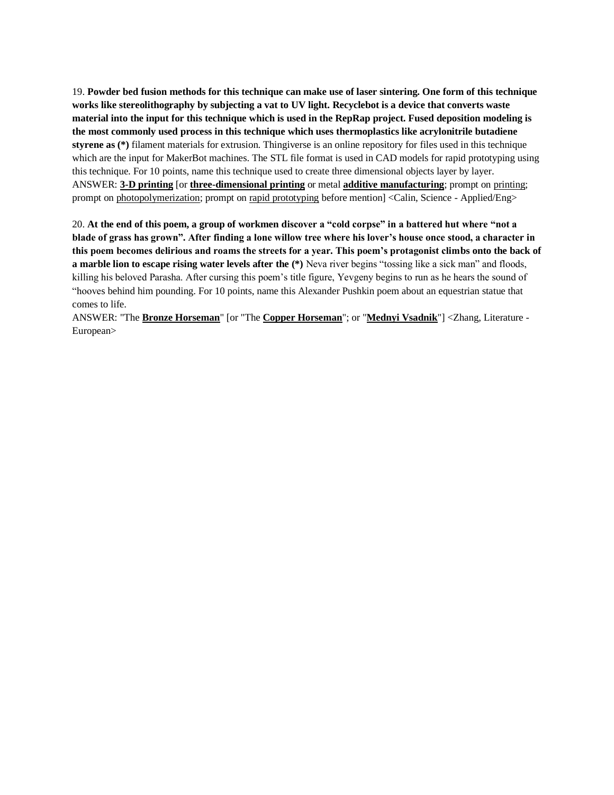19. **Powder bed fusion methods for this technique can make use of laser sintering. One form of this technique works like stereolithography by subjecting a vat to UV light. Recyclebot is a device that converts waste material into the input for this technique which is used in the RepRap project. Fused deposition modeling is the most commonly used process in this technique which uses thermoplastics like acrylonitrile butadiene styrene as (\*)** filament materials for extrusion. Thingiverse is an online repository for files used in this technique which are the input for MakerBot machines. The STL file format is used in CAD models for rapid prototyping using this technique. For 10 points, name this technique used to create three dimensional objects layer by layer. ANSWER: **3-D printing** [or **three-dimensional printing** or metal **additive manufacturing**; prompt on printing; prompt on photopolymerization; prompt on rapid prototyping before mention] <Calin, Science - Applied/Eng>

20. **At the end of this poem, a group of workmen discover a "cold corpse" in a battered hut where "not a blade of grass has grown". After finding a lone willow tree where his lover's house once stood, a character in this poem becomes delirious and roams the streets for a year. This poem's protagonist climbs onto the back of a marble lion to escape rising water levels after the (\*)** Neva river begins "tossing like a sick man" and floods, killing his beloved Parasha. After cursing this poem's title figure, Yevgeny begins to run as he hears the sound of "hooves behind him pounding. For 10 points, name this Alexander Pushkin poem about an equestrian statue that comes to life.

ANSWER: "The **Bronze Horseman**" [or "The **Copper Horseman**"; or "**Mednyi Vsadnik**"] <Zhang, Literature - European>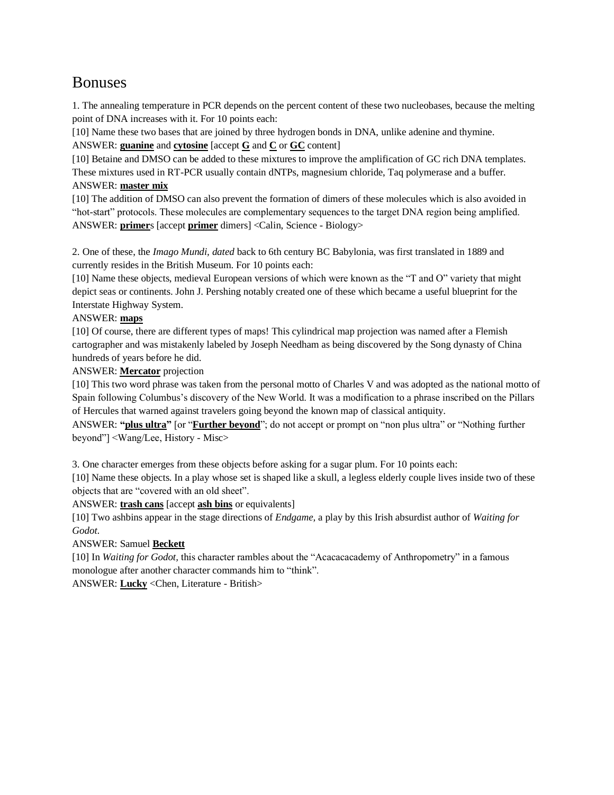# Bonuses

1. The annealing temperature in PCR depends on the percent content of these two nucleobases, because the melting point of DNA increases with it. For 10 points each:

[10] Name these two bases that are joined by three hydrogen bonds in DNA, unlike adenine and thymine. ANSWER: **guanine** and **cytosine** [accept **G** and **C** or **GC** content]

[10] Betaine and DMSO can be added to these mixtures to improve the amplification of GC rich DNA templates. These mixtures used in RT-PCR usually contain dNTPs, magnesium chloride, Taq polymerase and a buffer. ANSWER: **master mix**

[10] The addition of DMSO can also prevent the formation of dimers of these molecules which is also avoided in "hot-start" protocols. These molecules are complementary sequences to the target DNA region being amplified. ANSWER: **primer**s [accept **primer** dimers] <Calin, Science - Biology>

2. One of these, the *Imago Mundi, dated* back to 6th century BC Babylonia, was first translated in 1889 and currently resides in the British Museum. For 10 points each:

[10] Name these objects, medieval European versions of which were known as the "T and O" variety that might depict seas or continents. John J. Pershing notably created one of these which became a useful blueprint for the Interstate Highway System.

#### ANSWER: **maps**

[10] Of course, there are different types of maps! This cylindrical map projection was named after a Flemish cartographer and was mistakenly labeled by Joseph Needham as being discovered by the Song dynasty of China hundreds of years before he did.

#### ANSWER: **Mercator** projection

[10] This two word phrase was taken from the personal motto of Charles V and was adopted as the national motto of Spain following Columbus's discovery of the New World. It was a modification to a phrase inscribed on the Pillars of Hercules that warned against travelers going beyond the known map of classical antiquity.

ANSWER: "plus ultra" [or "**Further beyond**"; do not accept or prompt on "non plus ultra" or "Nothing further beyond"] <Wang/Lee, History - Misc>

3. One character emerges from these objects before asking for a sugar plum. For 10 points each:

[10] Name these objects. In a play whose set is shaped like a skull, a legless elderly couple lives inside two of these objects that are "covered with an old sheet".

#### ANSWER: **trash cans** [accept **ash bins** or equivalents]

[10] Two ashbins appear in the stage directions of *Endgame,* a play by this Irish absurdist author of *Waiting for Godot.*

#### ANSWER: Samuel **Beckett**

[10] In *Waiting for Godot,* this character rambles about the "Acacacacademy of Anthropometry" in a famous monologue after another character commands him to "think".

ANSWER: **Lucky** <Chen, Literature - British>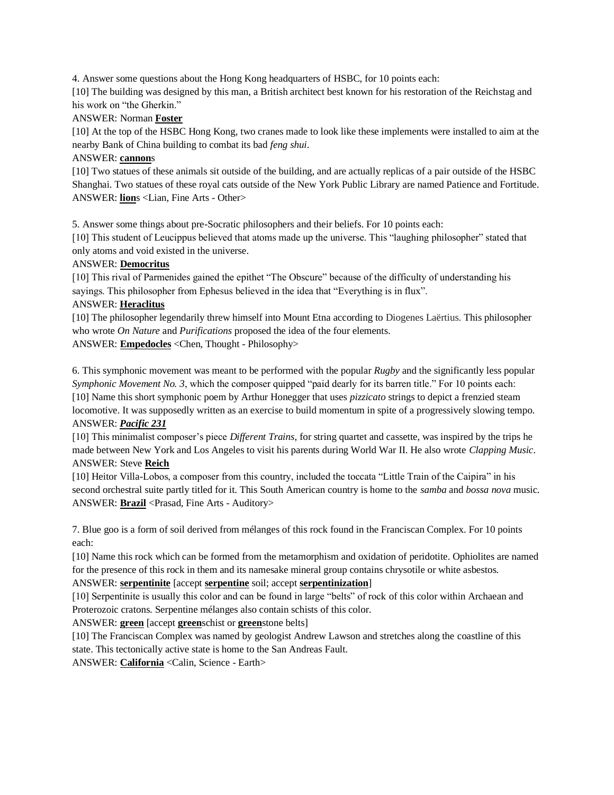4. Answer some questions about the Hong Kong headquarters of HSBC, for 10 points each:

[10] The building was designed by this man, a British architect best known for his restoration of the Reichstag and his work on "the Gherkin."

### ANSWER: Norman **Foster**

[10] At the top of the HSBC Hong Kong, two cranes made to look like these implements were installed to aim at the nearby Bank of China building to combat its bad *feng shui*.

#### ANSWER: **cannon**s

[10] Two statues of these animals sit outside of the building, and are actually replicas of a pair outside of the HSBC Shanghai. Two statues of these royal cats outside of the New York Public Library are named Patience and Fortitude. ANSWER: **lion**s <Lian, Fine Arts - Other>

5. Answer some things about pre-Socratic philosophers and their beliefs. For 10 points each:

[10] This student of Leucippus believed that atoms made up the universe. This "laughing philosopher" stated that only atoms and void existed in the universe.

#### ANSWER: **Democritus**

[10] This rival of Parmenides gained the epithet "The Obscure" because of the difficulty of understanding his sayings. This philosopher from Ephesus believed in the idea that "Everything is in flux".

#### ANSWER: **Heraclitus**

[10] The philosopher legendarily threw himself into Mount Etna according to Diogenes Laërtius. This philosopher who wrote *On Nature* and *Purifications* proposed the idea of the four elements. ANSWER: **Empedocles** <Chen, Thought - Philosophy>

6. This symphonic movement was meant to be performed with the popular *Rugby* and the significantly less popular *Symphonic Movement No. 3*, which the composer quipped "paid dearly for its barren title." For 10 points each: [10] Name this short symphonic poem by Arthur Honegger that uses *pizzicato* strings to depict a frenzied steam locomotive. It was supposedly written as an exercise to build momentum in spite of a progressively slowing tempo. ANSWER: *Pacific 231*

[10] This minimalist composer's piece *Different Trains*, for string quartet and cassette, was inspired by the trips he made between New York and Los Angeles to visit his parents during World War II. He also wrote *Clapping Music*. ANSWER: Steve **Reich**

[10] Heitor Villa-Lobos, a composer from this country, included the toccata "Little Train of the Caipira" in his second orchestral suite partly titled for it. This South American country is home to the *samba* and *bossa nova* music. ANSWER: **Brazil** <Prasad, Fine Arts - Auditory>

7. Blue goo is a form of soil derived from mélanges of this rock found in the Franciscan Complex. For 10 points each:

[10] Name this rock which can be formed from the metamorphism and oxidation of peridotite. Ophiolites are named for the presence of this rock in them and its namesake mineral group contains chrysotile or white asbestos.

#### ANSWER: **serpentinite** [accept **serpentine** soil; accept **serpentinization**]

[10] Serpentinite is usually this color and can be found in large "belts" of rock of this color within Archaean and Proterozoic cratons. Serpentine mélanges also contain schists of this color.

ANSWER: **green** [accept **green**schist or **green**stone belts]

[10] The Franciscan Complex was named by geologist Andrew Lawson and stretches along the coastline of this state. This tectonically active state is home to the San Andreas Fault.

ANSWER: **California** <Calin, Science - Earth>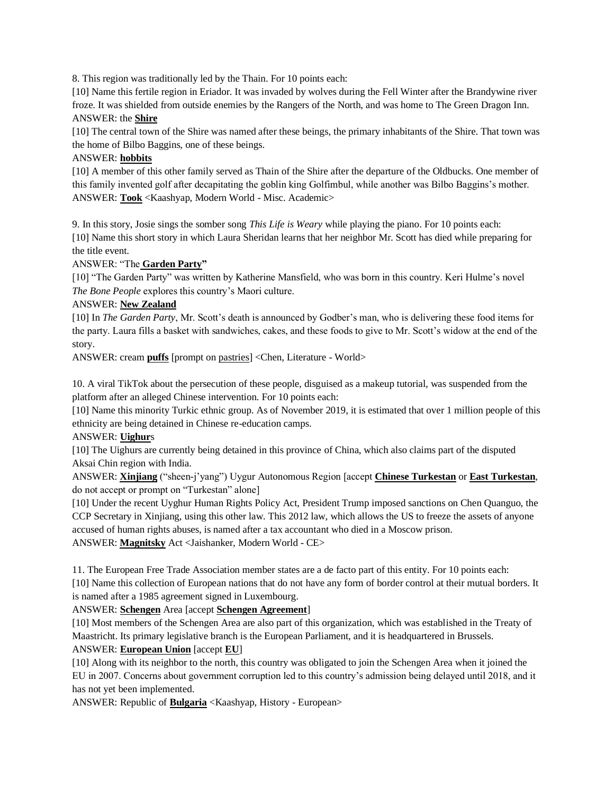8. This region was traditionally led by the Thain. For 10 points each:

[10] Name this fertile region in Eriador. It was invaded by wolves during the Fell Winter after the Brandywine river froze. It was shielded from outside enemies by the Rangers of the North, and was home to The Green Dragon Inn. ANSWER: the **Shire**

[10] The central town of the Shire was named after these beings, the primary inhabitants of the Shire. That town was the home of Bilbo Baggins, one of these beings.

#### ANSWER: **hobbits**

[10] A member of this other family served as Thain of the Shire after the departure of the Oldbucks. One member of this family invented golf after decapitating the goblin king Golfimbul, while another was Bilbo Baggins's mother. ANSWER: **Took** <Kaashyap, Modern World - Misc. Academic>

9. In this story, Josie sings the somber song *This Life is Weary* while playing the piano. For 10 points each: [10] Name this short story in which Laura Sheridan learns that her neighbor Mr. Scott has died while preparing for the title event.

ANSWER: "The **Garden Party"**

[10] "The Garden Party" was written by Katherine Mansfield, who was born in this country. Keri Hulme's novel *The Bone People* explores this country's Maori culture.

#### ANSWER: **New Zealand**

[10] In *The Garden Party*, Mr. Scott's death is announced by Godber's man, who is delivering these food items for the party. Laura fills a basket with sandwiches, cakes, and these foods to give to Mr. Scott's widow at the end of the story.

ANSWER: cream **puffs** [prompt on pastries] <Chen, Literature - World>

10. A viral TikTok about the persecution of these people, disguised as a makeup tutorial, was suspended from the platform after an alleged Chinese intervention. For 10 points each:

[10] Name this minority Turkic ethnic group. As of November 2019, it is estimated that over 1 million people of this ethnicity are being detained in Chinese re-education camps.

#### ANSWER: **Uighur**s

[10] The Uighurs are currently being detained in this province of China, which also claims part of the disputed Aksai Chin region with India.

ANSWER: **Xinjiang** ("sheen-j'yang") Uygur Autonomous Region [accept **Chinese Turkestan** or **East Turkestan**, do not accept or prompt on "Turkestan" alone]

[10] Under the recent Uyghur Human Rights Policy Act, President Trump imposed sanctions on Chen Quanguo, the CCP Secretary in Xinjiang, using this other law. This 2012 law, which allows the US to freeze the assets of anyone accused of human rights abuses, is named after a tax accountant who died in a Moscow prison. ANSWER: **Magnitsky** Act <Jaishanker, Modern World - CE>

11. The European Free Trade Association member states are a de facto part of this entity. For 10 points each: [10] Name this collection of European nations that do not have any form of border control at their mutual borders. It is named after a 1985 agreement signed in Luxembourg.

#### ANSWER: **Schengen** Area [accept **Schengen Agreement**]

[10] Most members of the Schengen Area are also part of this organization, which was established in the Treaty of Maastricht. Its primary legislative branch is the European Parliament, and it is headquartered in Brussels.

#### ANSWER: **European Union** [accept **EU**]

[10] Along with its neighbor to the north, this country was obligated to join the Schengen Area when it joined the EU in 2007. Concerns about government corruption led to this country's admission being delayed until 2018, and it has not yet been implemented.

ANSWER: Republic of **Bulgaria** <Kaashyap, History - European>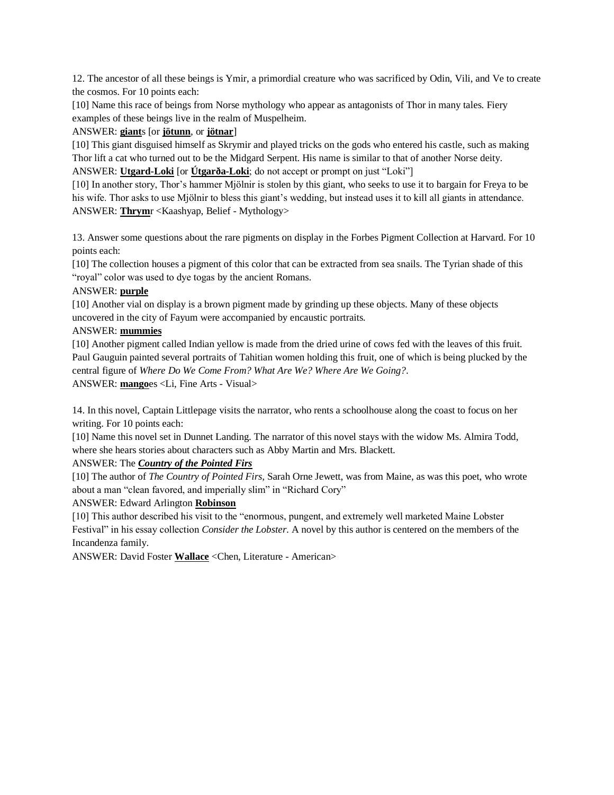12. The ancestor of all these beings is Ymir, a primordial creature who was sacrificed by Odin, Vili, and Ve to create the cosmos. For 10 points each:

[10] Name this race of beings from Norse mythology who appear as antagonists of Thor in many tales. Fiery examples of these beings live in the realm of Muspelheim.

#### ANSWER: **giant**s [or **jötunn**, or **jötnar**]

[10] This giant disguised himself as Skrymir and played tricks on the gods who entered his castle, such as making Thor lift a cat who turned out to be the Midgard Serpent. His name is similar to that of another Norse deity.

ANSWER: **Utgard-Loki** [or **Útgarða-Loki**; do not accept or prompt on just "Loki"]

[10] In another story, Thor's hammer Mjölnir is stolen by this giant, who seeks to use it to bargain for Freya to be his wife. Thor asks to use Mjölnir to bless this giant's wedding, but instead uses it to kill all giants in attendance. ANSWER: **Thrym**r <Kaashyap, Belief - Mythology>

13. Answer some questions about the rare pigments on display in the Forbes Pigment Collection at Harvard. For 10 points each:

[10] The collection houses a pigment of this color that can be extracted from sea snails. The Tyrian shade of this "royal" color was used to dye togas by the ancient Romans.

#### ANSWER: **purple**

[10] Another vial on display is a brown pigment made by grinding up these objects. Many of these objects uncovered in the city of Fayum were accompanied by encaustic portraits.

#### ANSWER: **mummies**

[10] Another pigment called Indian yellow is made from the dried urine of cows fed with the leaves of this fruit. Paul Gauguin painted several portraits of Tahitian women holding this fruit, one of which is being plucked by the central figure of *Where Do We Come From? What Are We? Where Are We Going?*. ANSWER: **mango**es <Li, Fine Arts - Visual>

14. In this novel, Captain Littlepage visits the narrator, who rents a schoolhouse along the coast to focus on her writing. For 10 points each:

[10] Name this novel set in Dunnet Landing. The narrator of this novel stays with the widow Ms. Almira Todd, where she hears stories about characters such as Abby Martin and Mrs. Blackett.

ANSWER: The *Country of the Pointed Firs*

[10] The author of *The Country of Pointed Firs,* Sarah Orne Jewett, was from Maine, as was this poet, who wrote about a man "clean favored, and imperially slim" in "Richard Cory"

#### ANSWER: Edward Arlington **Robinson**

[10] This author described his visit to the "enormous, pungent, and extremely well marketed Maine Lobster Festival" in his essay collection *Consider the Lobster*. A novel by this author is centered on the members of the Incandenza family.

ANSWER: David Foster **Wallace** <Chen, Literature - American>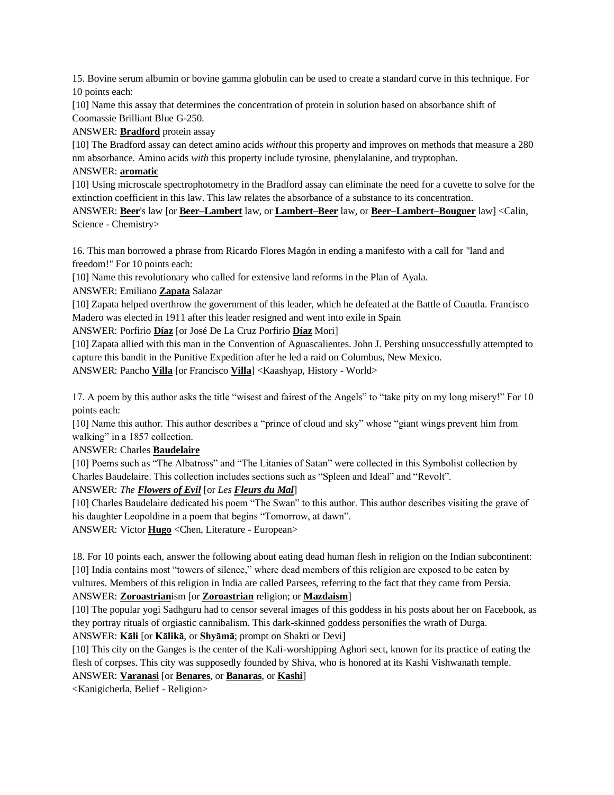15. Bovine serum albumin or bovine gamma globulin can be used to create a standard curve in this technique. For 10 points each:

[10] Name this assay that determines the concentration of protein in solution based on absorbance shift of Coomassie Brilliant Blue G-250.

ANSWER: **Bradford** protein assay

[10] The Bradford assay can detect amino acids *without* this property and improves on methods that measure a 280 nm absorbance. Amino acids *with* this property include tyrosine, phenylalanine, and tryptophan.

#### ANSWER: **aromatic**

[10] Using microscale spectrophotometry in the Bradford assay can eliminate the need for a cuvette to solve for the extinction coefficient in this law. This law relates the absorbance of a substance to its concentration.

ANSWER: **Beer**'s law [or **Beer–Lambert** law, or **Lambert–Beer** law, or **Beer–Lambert–Bouguer** law] <Calin, Science - Chemistry>

16. This man borrowed a phrase from Ricardo Flores Magón in ending a manifesto with a call for "land and freedom!" For 10 points each:

[10] Name this revolutionary who called for extensive land reforms in the Plan of Ayala.

ANSWER: Emiliano **Zapata** Salazar

[10] Zapata helped overthrow the government of this leader, which he defeated at the Battle of Cuautla. Francisco Madero was elected in 1911 after this leader resigned and went into exile in Spain

ANSWER: Porfirio **Díaz** [or José De La Cruz Porfirio **Díaz** Mori]

[10] Zapata allied with this man in the Convention of Aguascalientes. John J. Pershing unsuccessfully attempted to capture this bandit in the Punitive Expedition after he led a raid on Columbus, New Mexico.

ANSWER: Pancho **Villa** [or Francisco **Villa**] <Kaashyap, History - World>

17. A poem by this author asks the title "wisest and fairest of the Angels" to "take pity on my long misery!" For 10 points each:

[10] Name this author. This author describes a "prince of cloud and sky" whose "giant wings prevent him from walking" in a 1857 collection.

ANSWER: Charles **Baudelaire**

[10] Poems such as "The Albatross" and "The Litanies of Satan" were collected in this Symbolist collection by Charles Baudelaire. This collection includes sections such as "Spleen and Ideal" and "Revolt".

ANSWER: *The Flowers of Evil* [or *Les Fleurs du Mal*]

[10] Charles Baudelaire dedicated his poem "The Swan" to this author. This author describes visiting the grave of his daughter Leopoldine in a poem that begins "Tomorrow, at dawn".

ANSWER: Victor **Hugo** <Chen, Literature - European>

18. For 10 points each, answer the following about eating dead human flesh in religion on the Indian subcontinent: [10] India contains most "towers of silence," where dead members of this religion are exposed to be eaten by vultures. Members of this religion in India are called Parsees, referring to the fact that they came from Persia. ANSWER: **Zoroastrian**ism [or **Zoroastrian** religion; or **Mazdaism**]

[10] The popular yogi Sadhguru had to censor several images of this goddess in his posts about her on Facebook, as they portray rituals of orgiastic cannibalism. This dark-skinned goddess personifies the wrath of Durga.

ANSWER: **Kāli** [or **Kālikā**, or **Shyāmā**; prompt on Shakti or Devi]

[10] This city on the Ganges is the center of the Kali-worshipping Aghori sect, known for its practice of eating the flesh of corpses. This city was supposedly founded by Shiva, who is honored at its Kashi Vishwanath temple.

ANSWER: **Varanasi** [or **Benares**, or **Banaras**, or **Kashi**]

<Kanigicherla, Belief - Religion>